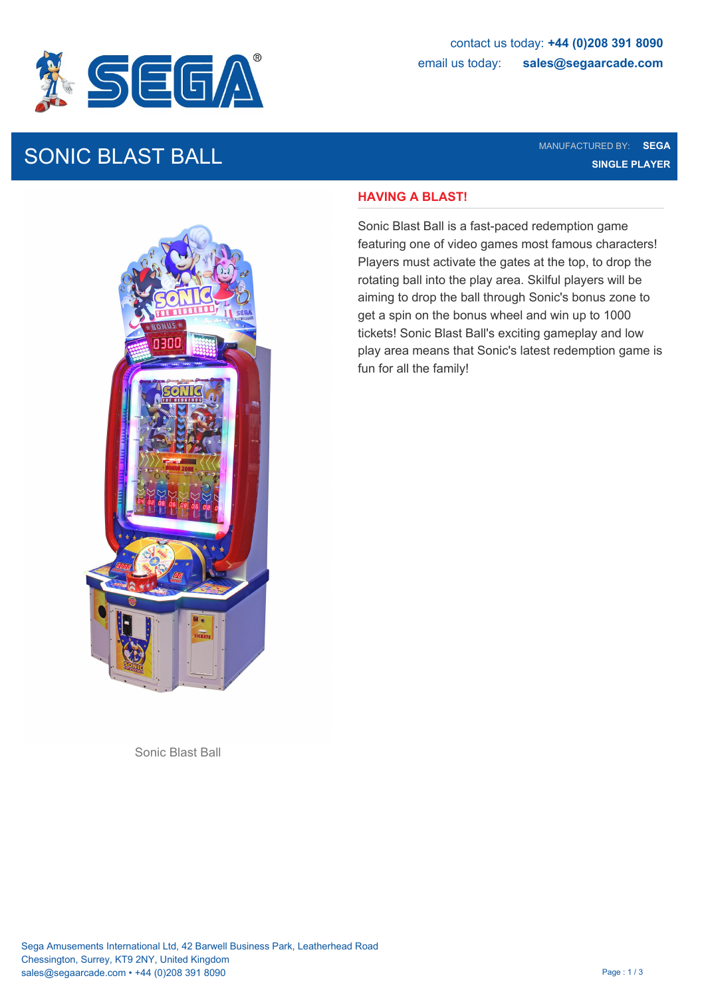

# SONIC BLAST BALL MANUFACTURED BY: SEGA

**SINGLE PLAYER**

### **HAVING A BLAST!**

Sonic Blast Ball is a fast-paced redemption game featuring one of video games most famous characters! Players must activate the gates at the top, to drop the rotating ball into the play area. Skilful players will be aiming to drop the ball through Sonic's bonus zone to get a spin on the bonus wheel and win up to 1000 tickets! Sonic Blast Ball's exciting gameplay and low play area means that Sonic's latest redemption game is fun for all the family!



Sonic Blast Ball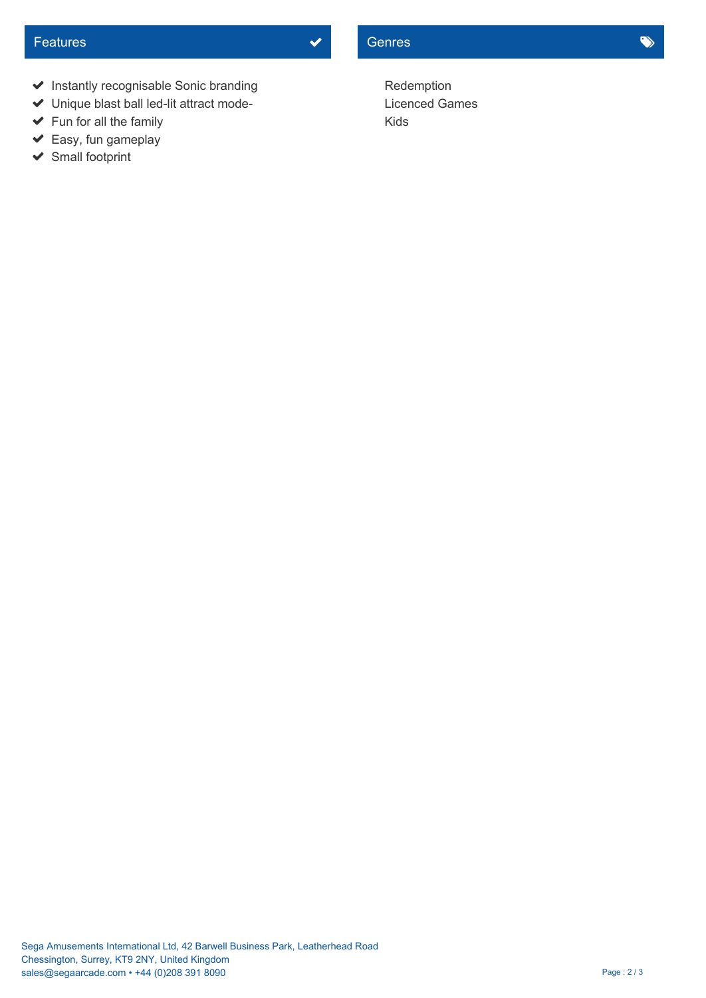- $\blacktriangleright$  Instantly recognisable Sonic branding
- Unique blast ball led-lit attract mode-
- ◆ Fun for all the family Kids
- $\blacktriangleright$  Easy, fun gameplay
- ◆ Small footprint

Redemption Licenced Games Kids